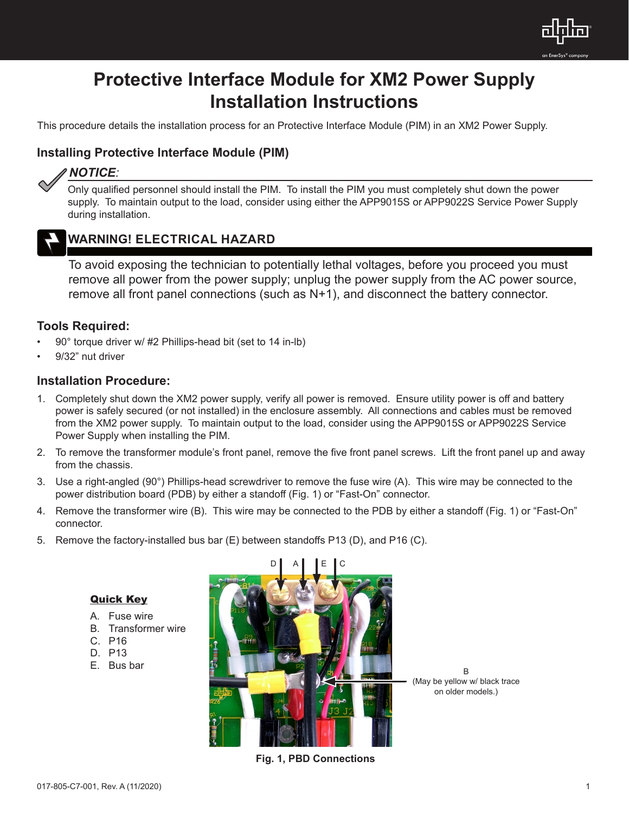

# **Protective Interface Module for XM2 Power Supply Installation Instructions**

This procedure details the installation process for an Protective Interface Module (PIM) in an XM2 Power Supply.

### **Installing Protective Interface Module (PIM)**

## *NOTICE:*

Only qualified personnel should install the PIM. To install the PIM you must completely shut down the power supply. To maintain output to the load, consider using either the APP9015S or APP9022S Service Power Supply during installation.



### **WARNING! ELECTRICAL HAZARD**

To avoid exposing the technician to potentially lethal voltages, before you proceed you must remove all power from the power supply; unplug the power supply from the AC power source, remove all front panel connections (such as N+1), and disconnect the battery connector.

### **Tools Required:**

- 90° torque driver w/ #2 Phillips-head bit (set to 14 in-lb)
- 9/32" nut driver

### **Installation Procedure:**

- 1. Completely shut down the XM2 power supply, verify all power is removed. Ensure utility power is off and battery power is safely secured (or not installed) in the enclosure assembly. All connections and cables must be removed from the XM2 power supply. To maintain output to the load, consider using the APP9015S or APP9022S Service Power Supply when installing the PIM.
- 2. To remove the transformer module's front panel, remove the five front panel screws. Lift the front panel up and away from the chassis.
- 3. Use a right-angled (90°) Phillips-head screwdriver to remove the fuse wire (A). This wire may be connected to the power distribution board (PDB) by either a standoff (Fig. 1) or "Fast-On" connector.
- 4. Remove the transformer wire (B). This wire may be connected to the PDB by either a standoff (Fig. 1) or "Fast-On" connector.
- 5. Remove the factory-installed bus bar (E) between standoffs P13 (D), and P16 (C).

### Quick Key

- A. Fuse wire
- B. Transformer wire
- C. P16
- D. P13
- E. Bus bar



B (May be yellow w/ black trace on older models.)

**Fig. 1, PBD Connections**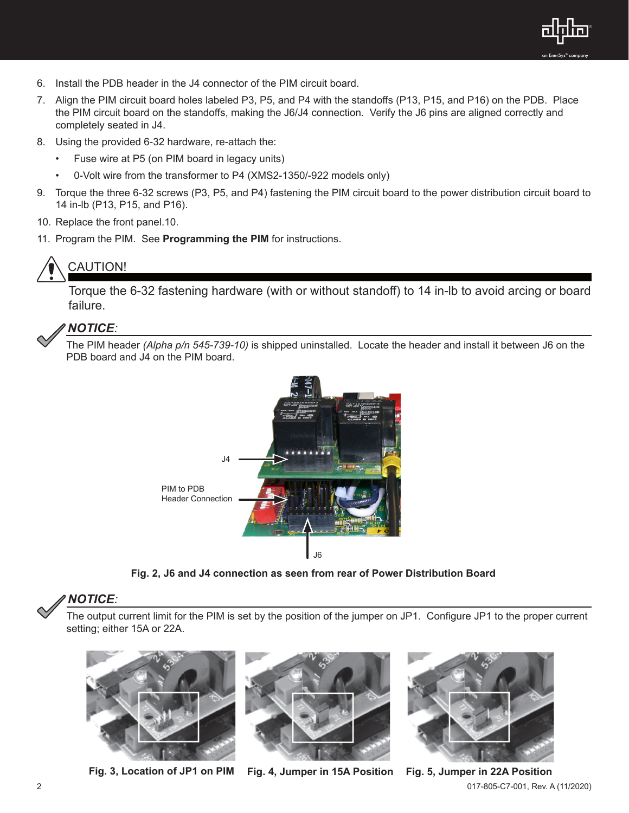

- 6. Install the PDB header in the J4 connector of the PIM circuit board.
- 7. Align the PIM circuit board holes labeled P3, P5, and P4 with the standoffs (P13, P15, and P16) on the PDB. Place the PIM circuit board on the standoffs, making the J6/J4 connection. Verify the J6 pins are aligned correctly and completely seated in J4.
- 8. Using the provided 6-32 hardware, re-attach the:
	- Fuse wire at P5 (on PIM board in legacy units)
	- 0-Volt wire from the transformer to P4 (XMS2-1350/-922 models only)
- 9. Torque the three 6-32 screws (P3, P5, and P4) fastening the PIM circuit board to the power distribution circuit board to 14 in-lb (P13, P15, and P16).
- 10. Replace the front panel.10.
- 11. Program the PIM. See **Programming the PIM** for instructions.

# CAUTION!

Torque the 6-32 fastening hardware (with or without standoff) to 14 in-lb to avoid arcing or board failure.

### *NOTICE:*

The PIM header *(Alpha p/n 545-739-10)* is shipped uninstalled. Locate the header and install it between J6 on the PDB board and J4 on the PIM board.



**Fig. 2, J6 and J4 connection as seen from rear of Power Distribution Board** 

### *NOTICE:*

The output current limit for the PIM is set by the position of the jumper on JP1. Configure JP1 to the proper current setting; either 15A or 22A.



**Fig. 3, Location of JP1 on PIM Fig. 4, Jumper in 15A Position Fig. 5, Jumper in 22A Position**





2 017-805-C7-001, Rev. A (11/2020)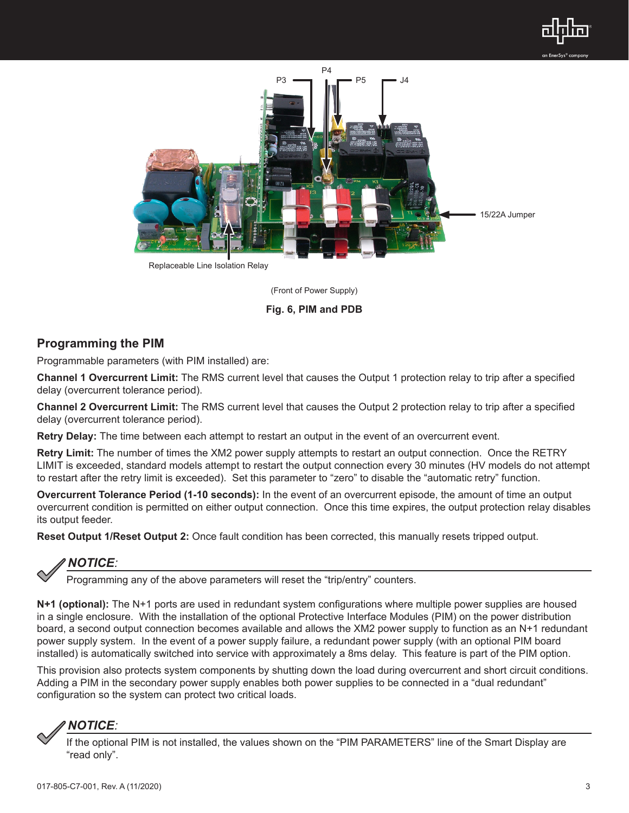



(Front of Power Supply)

#### **Fig. 6, PIM and PDB**

### **Programming the PIM**

Programmable parameters (with PIM installed) are:

**Channel 1 Overcurrent Limit:** The RMS current level that causes the Output 1 protection relay to trip after a specified delay (overcurrent tolerance period).

**Channel 2 Overcurrent Limit:** The RMS current level that causes the Output 2 protection relay to trip after a specified delay (overcurrent tolerance period).

**Retry Delay:** The time between each attempt to restart an output in the event of an overcurrent event.

**Retry Limit:** The number of times the XM2 power supply attempts to restart an output connection. Once the RETRY LIMIT is exceeded, standard models attempt to restart the output connection every 30 minutes (HV models do not attempt to restart after the retry limit is exceeded). Set this parameter to "zero" to disable the "automatic retry" function.

**Overcurrent Tolerance Period (1-10 seconds):** In the event of an overcurrent episode, the amount of time an output overcurrent condition is permitted on either output connection. Once this time expires, the output protection relay disables its output feeder.

**Reset Output 1/Reset Output 2:** Once fault condition has been corrected, this manually resets tripped output.

## *NOTICE:*

Programming any of the above parameters will reset the "trip/entry" counters.

**N+1 (optional):** The N+1 ports are used in redundant system configurations where multiple power supplies are housed in a single enclosure. With the installation of the optional Protective Interface Modules (PIM) on the power distribution board, a second output connection becomes available and allows the XM2 power supply to function as an N+1 redundant power supply system. In the event of a power supply failure, a redundant power supply (with an optional PIM board installed) is automatically switched into service with approximately a 8ms delay. This feature is part of the PIM option.

This provision also protects system components by shutting down the load during overcurrent and short circuit conditions. Adding a PIM in the secondary power supply enables both power supplies to be connected in a "dual redundant" configuration so the system can protect two critical loads.



If the optional PIM is not installed, the values shown on the "PIM PARAMETERS" line of the Smart Display are "read only".